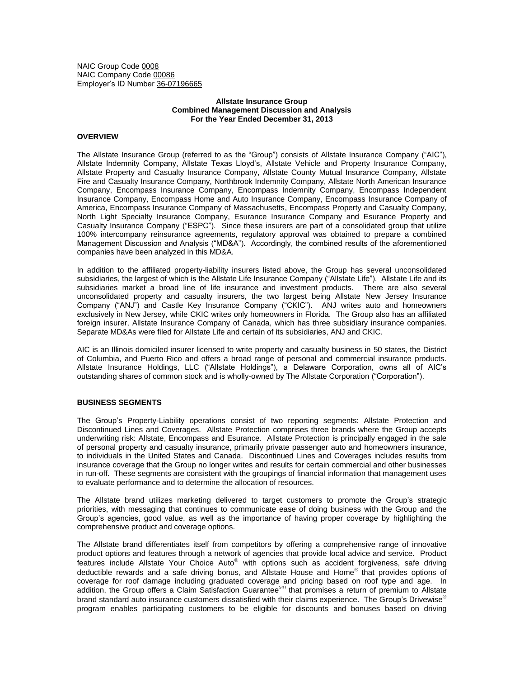NAIC Group Code 0008 NAIC Company Code 00086 Employer's ID Number 36-07196665

# **Allstate Insurance Group Combined Management Discussion and Analysis For the Year Ended December 31, 2013**

# **OVERVIEW**

The Allstate Insurance Group (referred to as the "Group") consists of Allstate Insurance Company ("AIC"), Allstate Indemnity Company, Allstate Texas Lloyd's, Allstate Vehicle and Property Insurance Company, Allstate Property and Casualty Insurance Company, Allstate County Mutual Insurance Company, Allstate Fire and Casualty Insurance Company, Northbrook Indemnity Company, Allstate North American Insurance Company, Encompass Insurance Company, Encompass Indemnity Company, Encompass Independent Insurance Company, Encompass Home and Auto Insurance Company, Encompass Insurance Company of America, Encompass Insurance Company of Massachusetts, Encompass Property and Casualty Company, North Light Specialty Insurance Company, Esurance Insurance Company and Esurance Property and Casualty Insurance Company ("ESPC"). Since these insurers are part of a consolidated group that utilize 100% intercompany reinsurance agreements, regulatory approval was obtained to prepare a combined Management Discussion and Analysis ("MD&A"). Accordingly, the combined results of the aforementioned companies have been analyzed in this MD&A.

In addition to the affiliated property-liability insurers listed above, the Group has several unconsolidated subsidiaries, the largest of which is the Allstate Life Insurance Company ("Allstate Life"). Allstate Life and its subsidiaries market a broad line of life insurance and investment products. There are also several unconsolidated property and casualty insurers, the two largest being Allstate New Jersey Insurance Company ("ANJ") and Castle Key Insurance Company ("CKIC"). ANJ writes auto and homeowners exclusively in New Jersey, while CKIC writes only homeowners in Florida. The Group also has an affiliated foreign insurer, Allstate Insurance Company of Canada, which has three subsidiary insurance companies. Separate MD&As were filed for Allstate Life and certain of its subsidiaries, ANJ and CKIC.

AIC is an Illinois domiciled insurer licensed to write property and casualty business in 50 states, the District of Columbia, and Puerto Rico and offers a broad range of personal and commercial insurance products. Allstate Insurance Holdings, LLC ("Allstate Holdings"), a Delaware Corporation, owns all of AIC's outstanding shares of common stock and is wholly-owned by The Allstate Corporation ("Corporation").

#### **BUSINESS SEGMENTS**

The Group's Property-Liability operations consist of two reporting segments: Allstate Protection and Discontinued Lines and Coverages. Allstate Protection comprises three brands where the Group accepts underwriting risk: Allstate, Encompass and Esurance. Allstate Protection is principally engaged in the sale of personal property and casualty insurance, primarily private passenger auto and homeowners insurance, to individuals in the United States and Canada. Discontinued Lines and Coverages includes results from insurance coverage that the Group no longer writes and results for certain commercial and other businesses in run-off. These segments are consistent with the groupings of financial information that management uses to evaluate performance and to determine the allocation of resources.

The Allstate brand utilizes marketing delivered to target customers to promote the Group's strategic priorities, with messaging that continues to communicate ease of doing business with the Group and the Group's agencies, good value, as well as the importance of having proper coverage by highlighting the comprehensive product and coverage options.

The Allstate brand differentiates itself from competitors by offering a comprehensive range of innovative product options and features through a network of agencies that provide local advice and service. Product features include Allstate Your Choice Auto<sup>®</sup> with options such as accident forgiveness, safe driving deductible rewards and a safe driving bonus, and Allstate House and Home® that provides options of coverage for roof damage including graduated coverage and pricing based on roof type and age. In addition, the Group offers a Claim Satisfaction Guaranteesm that promises a return of premium to Allstate brand standard auto insurance customers dissatisfied with their claims experience. The Group's Drivewise<sup>®</sup> program enables participating customers to be eligible for discounts and bonuses based on driving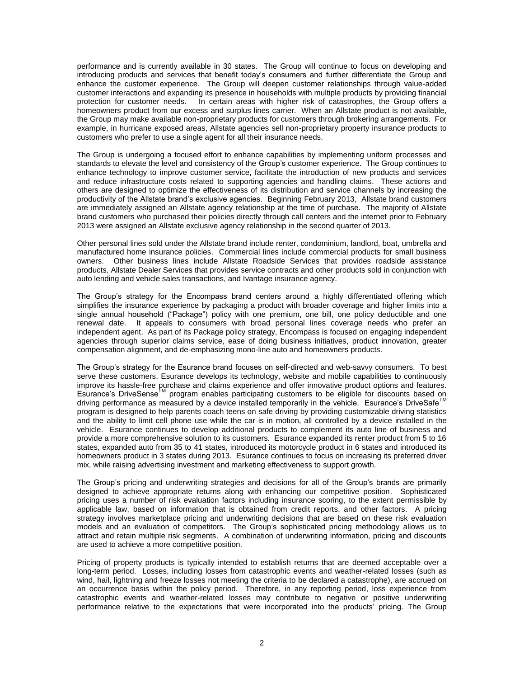performance and is currently available in 30 states. The Group will continue to focus on developing and introducing products and services that benefit today's consumers and further differentiate the Group and enhance the customer experience. The Group will deepen customer relationships through value-added customer interactions and expanding its presence in households with multiple products by providing financial protection for customer needs. In certain areas with higher risk of catastrophes, the Group offers a homeowners product from our excess and surplus lines carrier. When an Allstate product is not available, the Group may make available non-proprietary products for customers through brokering arrangements. For example, in hurricane exposed areas, Allstate agencies sell non-proprietary property insurance products to customers who prefer to use a single agent for all their insurance needs.

The Group is undergoing a focused effort to enhance capabilities by implementing uniform processes and standards to elevate the level and consistency of the Group's customer experience. The Group continues to enhance technology to improve customer service, facilitate the introduction of new products and services and reduce infrastructure costs related to supporting agencies and handling claims. These actions and others are designed to optimize the effectiveness of its distribution and service channels by increasing the productivity of the Allstate brand's exclusive agencies. Beginning February 2013, Allstate brand customers are immediately assigned an Allstate agency relationship at the time of purchase. The majority of Allstate brand customers who purchased their policies directly through call centers and the internet prior to February 2013 were assigned an Allstate exclusive agency relationship in the second quarter of 2013.

Other personal lines sold under the Allstate brand include renter, condominium, landlord, boat, umbrella and manufactured home insurance policies. Commercial lines include commercial products for small business owners. Other business lines include Allstate Roadside Services that provides roadside assistance products, Allstate Dealer Services that provides service contracts and other products sold in conjunction with auto lending and vehicle sales transactions, and Ivantage insurance agency.

The Group's strategy for the Encompass brand centers around a highly differentiated offering which simplifies the insurance experience by packaging a product with broader coverage and higher limits into a single annual household ("Package") policy with one premium, one bill, one policy deductible and one renewal date. It appeals to consumers with broad personal lines coverage needs who prefer an independent agent. As part of its Package policy strategy, Encompass is focused on engaging independent agencies through superior claims service, ease of doing business initiatives, product innovation, greater compensation alignment, and de-emphasizing mono-line auto and homeowners products.

The Group's strategy for the Esurance brand focuses on self-directed and web-savvy consumers. To best serve these customers, Esurance develops its technology, website and mobile capabilities to continuously improve its hassle-free purchase and claims experience and offer innovative product options and features. Esurance's DriveSense<sup>TM</sup> program enables participating customers to be eligible for discounts based on driving performance as measured by a device installed temporarily in the vehicle. Esurance's DriveSafe™ program is designed to help parents coach teens on safe driving by providing customizable driving statistics and the ability to limit cell phone use while the car is in motion, all controlled by a device installed in the vehicle. Esurance continues to develop additional products to complement its auto line of business and provide a more comprehensive solution to its customers. Esurance expanded its renter product from 5 to 16 states, expanded auto from 35 to 41 states, introduced its motorcycle product in 6 states and introduced its homeowners product in 3 states during 2013. Esurance continues to focus on increasing its preferred driver mix, while raising advertising investment and marketing effectiveness to support growth.

The Group's pricing and underwriting strategies and decisions for all of the Group's brands are primarily designed to achieve appropriate returns along with enhancing our competitive position. Sophisticated pricing uses a number of risk evaluation factors including insurance scoring, to the extent permissible by applicable law, based on information that is obtained from credit reports, and other factors. A pricing strategy involves marketplace pricing and underwriting decisions that are based on these risk evaluation models and an evaluation of competitors. The Group's sophisticated pricing methodology allows us to attract and retain multiple risk segments. A combination of underwriting information, pricing and discounts are used to achieve a more competitive position.

Pricing of property products is typically intended to establish returns that are deemed acceptable over a long-term period. Losses, including losses from catastrophic events and weather-related losses (such as wind, hail, lightning and freeze losses not meeting the criteria to be declared a catastrophe), are accrued on an occurrence basis within the policy period. Therefore, in any reporting period, loss experience from catastrophic events and weather-related losses may contribute to negative or positive underwriting performance relative to the expectations that were incorporated into the products' pricing. The Group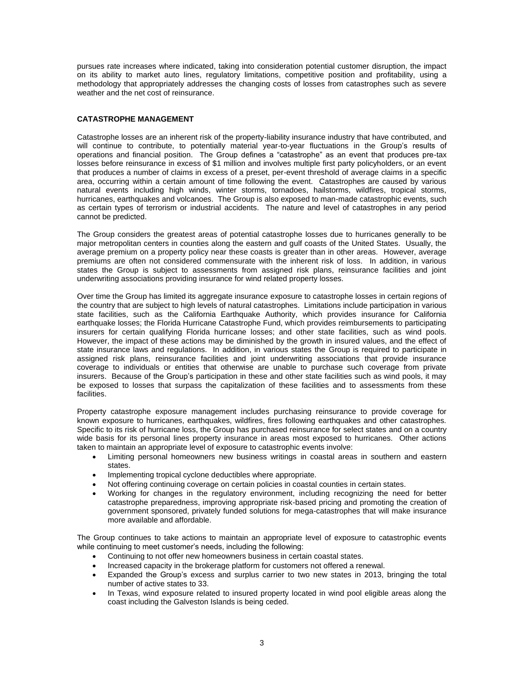pursues rate increases where indicated, taking into consideration potential customer disruption, the impact on its ability to market auto lines, regulatory limitations, competitive position and profitability, using a methodology that appropriately addresses the changing costs of losses from catastrophes such as severe weather and the net cost of reinsurance.

# **CATASTROPHE MANAGEMENT**

Catastrophe losses are an inherent risk of the property-liability insurance industry that have contributed, and will continue to contribute, to potentially material year-to-year fluctuations in the Group's results of operations and financial position. The Group defines a "catastrophe" as an event that produces pre-tax losses before reinsurance in excess of \$1 million and involves multiple first party policyholders, or an event that produces a number of claims in excess of a preset, per-event threshold of average claims in a specific area, occurring within a certain amount of time following the event. Catastrophes are caused by various natural events including high winds, winter storms, tornadoes, hailstorms, wildfires, tropical storms, hurricanes, earthquakes and volcanoes. The Group is also exposed to man-made catastrophic events, such as certain types of terrorism or industrial accidents. The nature and level of catastrophes in any period cannot be predicted.

The Group considers the greatest areas of potential catastrophe losses due to hurricanes generally to be major metropolitan centers in counties along the eastern and gulf coasts of the United States. Usually, the average premium on a property policy near these coasts is greater than in other areas. However, average premiums are often not considered commensurate with the inherent risk of loss. In addition, in various states the Group is subject to assessments from assigned risk plans, reinsurance facilities and joint underwriting associations providing insurance for wind related property losses.

Over time the Group has limited its aggregate insurance exposure to catastrophe losses in certain regions of the country that are subject to high levels of natural catastrophes. Limitations include participation in various state facilities, such as the California Earthquake Authority, which provides insurance for California earthquake losses; the Florida Hurricane Catastrophe Fund, which provides reimbursements to participating insurers for certain qualifying Florida hurricane losses; and other state facilities, such as wind pools. However, the impact of these actions may be diminished by the growth in insured values, and the effect of state insurance laws and regulations. In addition, in various states the Group is required to participate in assigned risk plans, reinsurance facilities and joint underwriting associations that provide insurance coverage to individuals or entities that otherwise are unable to purchase such coverage from private insurers. Because of the Group's participation in these and other state facilities such as wind pools, it may be exposed to losses that surpass the capitalization of these facilities and to assessments from these facilities.

Property catastrophe exposure management includes purchasing reinsurance to provide coverage for known exposure to hurricanes, earthquakes, wildfires, fires following earthquakes and other catastrophes. Specific to its risk of hurricane loss, the Group has purchased reinsurance for select states and on a country wide basis for its personal lines property insurance in areas most exposed to hurricanes. Other actions taken to maintain an appropriate level of exposure to catastrophic events involve:

- Limiting personal homeowners new business writings in coastal areas in southern and eastern states.
- Implementing tropical cyclone deductibles where appropriate.
- Not offering continuing coverage on certain policies in coastal counties in certain states.
- Working for changes in the regulatory environment, including recognizing the need for better catastrophe preparedness, improving appropriate risk-based pricing and promoting the creation of government sponsored, privately funded solutions for mega-catastrophes that will make insurance more available and affordable.

The Group continues to take actions to maintain an appropriate level of exposure to catastrophic events while continuing to meet customer's needs, including the following:

- Continuing to not offer new homeowners business in certain coastal states.
- Increased capacity in the brokerage platform for customers not offered a renewal.
- Expanded the Group's excess and surplus carrier to two new states in 2013, bringing the total number of active states to 33.
- In Texas, wind exposure related to insured property located in wind pool eligible areas along the coast including the Galveston Islands is being ceded.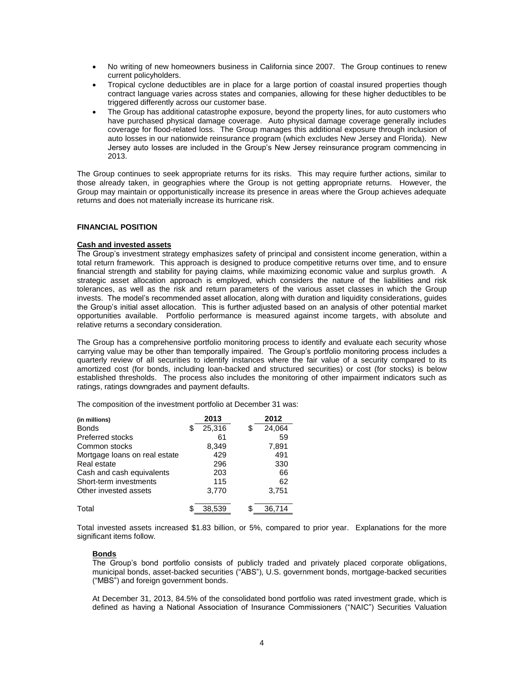- No writing of new homeowners business in California since 2007. The Group continues to renew current policyholders.
- Tropical cyclone deductibles are in place for a large portion of coastal insured properties though contract language varies across states and companies, allowing for these higher deductibles to be triggered differently across our customer base.
- The Group has additional catastrophe exposure, beyond the property lines, for auto customers who have purchased physical damage coverage. Auto physical damage coverage generally includes coverage for flood-related loss. The Group manages this additional exposure through inclusion of auto losses in our nationwide reinsurance program (which excludes New Jersey and Florida). New Jersey auto losses are included in the Group's New Jersey reinsurance program commencing in 2013.

The Group continues to seek appropriate returns for its risks. This may require further actions, similar to those already taken, in geographies where the Group is not getting appropriate returns. However, the Group may maintain or opportunistically increase its presence in areas where the Group achieves adequate returns and does not materially increase its hurricane risk.

## **FINANCIAL POSITION**

# **Cash and invested assets**

The Group's investment strategy emphasizes safety of principal and consistent income generation, within a total return framework. This approach is designed to produce competitive returns over time, and to ensure financial strength and stability for paying claims, while maximizing economic value and surplus growth. A strategic asset allocation approach is employed, which considers the nature of the liabilities and risk tolerances, as well as the risk and return parameters of the various asset classes in which the Group invests. The model's recommended asset allocation, along with duration and liquidity considerations, guides the Group's initial asset allocation. This is further adjusted based on an analysis of other potential market opportunities available. Portfolio performance is measured against income targets, with absolute and relative returns a secondary consideration.

The Group has a comprehensive portfolio monitoring process to identify and evaluate each security whose carrying value may be other than temporally impaired. The Group's portfolio monitoring process includes a quarterly review of all securities to identify instances where the fair value of a security compared to its amortized cost (for bonds, including loan-backed and structured securities) or cost (for stocks) is below established thresholds. The process also includes the monitoring of other impairment indicators such as ratings, ratings downgrades and payment defaults.

The composition of the investment portfolio at December 31 was:

| (in millions)                 | 2013   | 2012         |
|-------------------------------|--------|--------------|
| <b>Bonds</b>                  | 25,316 | 24,064<br>S  |
| Preferred stocks              | 61     | 59           |
| Common stocks                 | 8,349  | 7,891        |
| Mortgage loans on real estate | 429    | 491          |
| Real estate                   | 296    | 330          |
| Cash and cash equivalents     | 203    | 66           |
| Short-term investments        | 115    | 62           |
| Other invested assets         | 3,770  | 3,751        |
| Total                         | 38.539 | \$<br>36.714 |

Total invested assets increased \$1.83 billion, or 5%, compared to prior year. Explanations for the more significant items follow.

# **Bonds**

The Group's bond portfolio consists of publicly traded and privately placed corporate obligations, municipal bonds, asset-backed securities ("ABS"), U.S. government bonds, mortgage-backed securities ("MBS") and foreign government bonds.

At December 31, 2013, 84.5% of the consolidated bond portfolio was rated investment grade, which is defined as having a National Association of Insurance Commissioners ("NAIC") Securities Valuation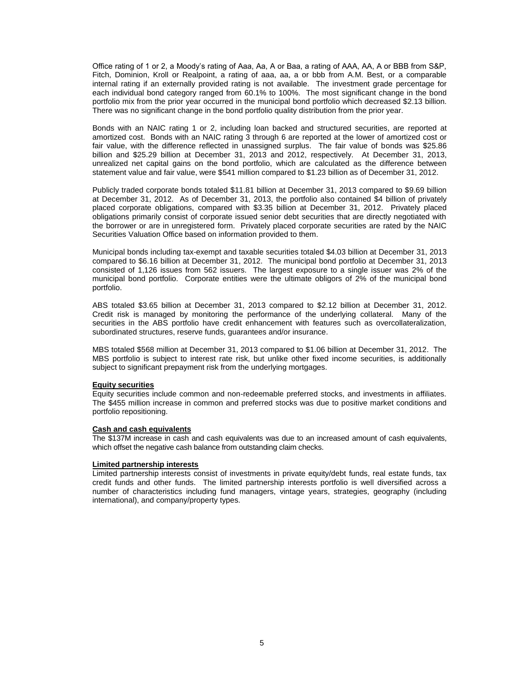Office rating of 1 or 2, a Moody's rating of Aaa, Aa, A or Baa, a rating of AAA, AA, A or BBB from S&P, Fitch, Dominion, Kroll or Realpoint, a rating of aaa, aa, a or bbb from A.M. Best, or a comparable internal rating if an externally provided rating is not available. The investment grade percentage for each individual bond category ranged from 60.1% to 100%. The most significant change in the bond portfolio mix from the prior year occurred in the municipal bond portfolio which decreased \$2.13 billion. There was no significant change in the bond portfolio quality distribution from the prior year.

Bonds with an NAIC rating 1 or 2, including loan backed and structured securities, are reported at amortized cost. Bonds with an NAIC rating 3 through 6 are reported at the lower of amortized cost or fair value, with the difference reflected in unassigned surplus. The fair value of bonds was \$25.86 billion and \$25.29 billion at December 31, 2013 and 2012, respectively. At December 31, 2013, unrealized net capital gains on the bond portfolio, which are calculated as the difference between statement value and fair value, were \$541 million compared to \$1.23 billion as of December 31, 2012.

Publicly traded corporate bonds totaled \$11.81 billion at December 31, 2013 compared to \$9.69 billion at December 31, 2012. As of December 31, 2013, the portfolio also contained \$4 billion of privately placed corporate obligations, compared with \$3.35 billion at December 31, 2012. Privately placed obligations primarily consist of corporate issued senior debt securities that are directly negotiated with the borrower or are in unregistered form. Privately placed corporate securities are rated by the NAIC Securities Valuation Office based on information provided to them.

Municipal bonds including tax-exempt and taxable securities totaled \$4.03 billion at December 31, 2013 compared to \$6.16 billion at December 31, 2012. The municipal bond portfolio at December 31, 2013 consisted of 1,126 issues from 562 issuers. The largest exposure to a single issuer was 2% of the municipal bond portfolio. Corporate entities were the ultimate obligors of 2% of the municipal bond portfolio.

ABS totaled \$3.65 billion at December 31, 2013 compared to \$2.12 billion at December 31, 2012. Credit risk is managed by monitoring the performance of the underlying collateral. Many of the securities in the ABS portfolio have credit enhancement with features such as overcollateralization, subordinated structures, reserve funds, guarantees and/or insurance.

MBS totaled \$568 million at December 31, 2013 compared to \$1.06 billion at December 31, 2012. The MBS portfolio is subject to interest rate risk, but unlike other fixed income securities, is additionally subject to significant prepayment risk from the underlying mortgages.

## **Equity securities**

Equity securities include common and non-redeemable preferred stocks, and investments in affiliates. The \$455 million increase in common and preferred stocks was due to positive market conditions and portfolio repositioning.

# **Cash and cash equivalents**

The \$137M increase in cash and cash equivalents was due to an increased amount of cash equivalents, which offset the negative cash balance from outstanding claim checks.

#### **Limited partnership interests**

Limited partnership interests consist of investments in private equity/debt funds, real estate funds, tax credit funds and other funds. The limited partnership interests portfolio is well diversified across a number of characteristics including fund managers, vintage years, strategies, geography (including international), and company/property types.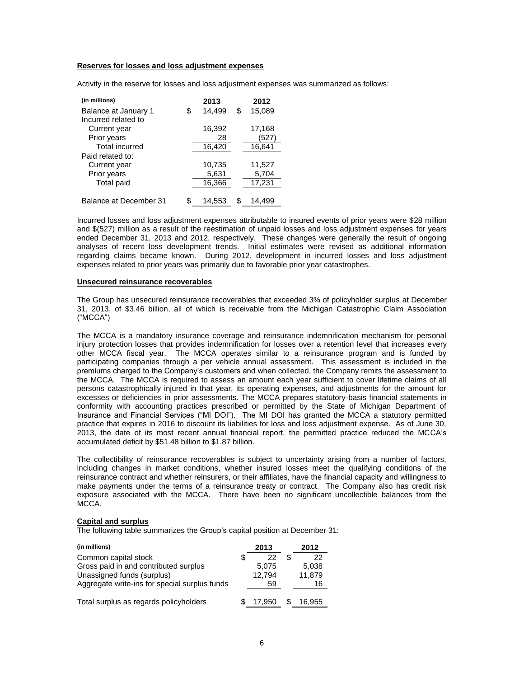### **Reserves for losses and loss adjustment expenses**

Activity in the reserve for losses and loss adjustment expenses was summarized as follows:

| (in millions)          | 2013         |    | 2012   |
|------------------------|--------------|----|--------|
| Balance at January 1   | \$<br>14,499 | \$ | 15,089 |
| Incurred related to    |              |    |        |
| Current year           | 16,392       |    | 17,168 |
| Prior years            | 28           |    | (527)  |
| <b>Total incurred</b>  | 16,420       |    | 16,641 |
| Paid related to:       |              |    |        |
| Current year           | 10,735       |    | 11,527 |
| Prior years            | 5,631        |    | 5,704  |
| <b>Total paid</b>      | 16,366       |    | 17,231 |
|                        |              |    |        |
| Balance at December 31 | \$<br>14,553 | S  | 14,499 |

Incurred losses and loss adjustment expenses attributable to insured events of prior years were \$28 million and \$(527) million as a result of the reestimation of unpaid losses and loss adjustment expenses for years ended December 31, 2013 and 2012, respectively. These changes were generally the result of ongoing analyses of recent loss development trends. Initial estimates were revised as additional information regarding claims became known. During 2012, development in incurred losses and loss adjustment expenses related to prior years was primarily due to favorable prior year catastrophes.

### **Unsecured reinsurance recoverables**

The Group has unsecured reinsurance recoverables that exceeded 3% of policyholder surplus at December 31, 2013, of \$3.46 billion, all of which is receivable from the Michigan Catastrophic Claim Association ("MCCA")

The MCCA is a mandatory insurance coverage and reinsurance indemnification mechanism for personal injury protection losses that provides indemnification for losses over a retention level that increases every other MCCA fiscal year. The MCCA operates similar to a reinsurance program and is funded by participating companies through a per vehicle annual assessment. This assessment is included in the premiums charged to the Company's customers and when collected, the Company remits the assessment to the MCCA. The MCCA is required to assess an amount each year sufficient to cover lifetime claims of all persons catastrophically injured in that year, its operating expenses, and adjustments for the amount for excesses or deficiencies in prior assessments. The MCCA prepares statutory-basis financial statements in conformity with accounting practices prescribed or permitted by the State of Michigan Department of Insurance and Financial Services ("MI DOI"). The MI DOI has granted the MCCA a statutory permitted practice that expires in 2016 to discount its liabilities for loss and loss adjustment expense. As of June 30, 2013, the date of its most recent annual financial report, the permitted practice reduced the MCCA's accumulated deficit by \$51.48 billion to \$1.87 billion.

The collectibility of reinsurance recoverables is subject to uncertainty arising from a number of factors, including changes in market conditions, whether insured losses meet the qualifying conditions of the reinsurance contract and whether reinsurers, or their affiliates, have the financial capacity and willingness to make payments under the terms of a reinsurance treaty or contract. The Company also has credit risk exposure associated with the MCCA. There have been no significant uncollectible balances from the MCCA.

### **Capital and surplus**

The following table summarizes the Group's capital position at December 31:

| (in millions)                                 | 2013   | 2012   |
|-----------------------------------------------|--------|--------|
| Common capital stock                          | 22     | 22     |
| Gross paid in and contributed surplus         | 5,075  | 5,038  |
| Unassigned funds (surplus)                    | 12.794 | 11,879 |
| Aggregate write-ins for special surplus funds | 59     | 16     |
| Total surplus as regards policyholders        | 17.950 | 16.955 |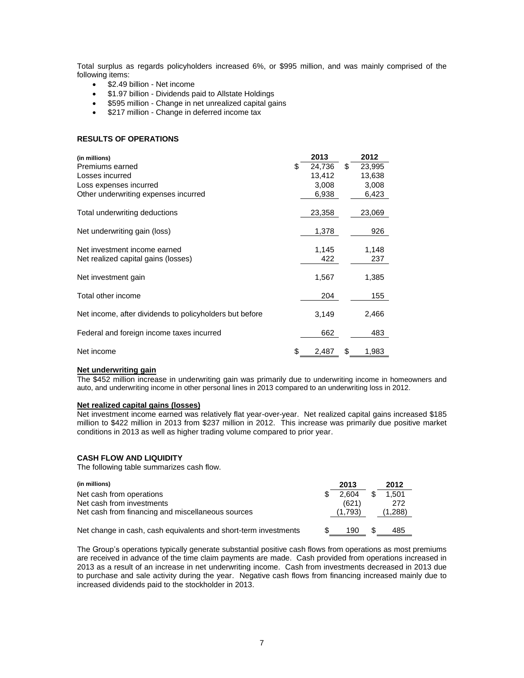Total surplus as regards policyholders increased 6%, or \$995 million, and was mainly comprised of the following items:

- \$2.49 billion Net income
- \$1.97 billion Dividends paid to Allstate Holdings
- **•** \$595 million Change in net unrealized capital gains
- \$217 million Change in deferred income tax

## **RESULTS OF OPERATIONS**

| (in millions)                                           |    | 2013   | 2012         |
|---------------------------------------------------------|----|--------|--------------|
| Premiums earned                                         | S  | 24,736 | \$<br>23,995 |
| Losses incurred                                         |    | 13,412 | 13,638       |
| Loss expenses incurred                                  |    | 3,008  | 3,008        |
| Other underwriting expenses incurred                    |    | 6,938  | 6,423        |
| Total underwriting deductions                           |    | 23,358 | 23,069       |
| Net underwriting gain (loss)                            |    | 1,378  | 926          |
| Net investment income earned                            |    | 1,145  | 1,148        |
| Net realized capital gains (losses)                     |    | 422    | 237          |
| Net investment gain                                     |    | 1,567  | 1,385        |
| Total other income                                      |    | 204    | 155          |
| Net income, after dividends to policyholders but before |    | 3,149  | 2,466        |
| Federal and foreign income taxes incurred               |    | 662    | 483          |
| Net income                                              | \$ | 2,487  | \$<br>1,983  |

#### **Net underwriting gain**

The \$452 million increase in underwriting gain was primarily due to underwriting income in homeowners and auto, and underwriting income in other personal lines in 2013 compared to an underwriting loss in 2012.

# **Net realized capital gains (losses)**

Net investment income earned was relatively flat year-over-year. Net realized capital gains increased \$185 million to \$422 million in 2013 from \$237 million in 2012. This increase was primarily due positive market conditions in 2013 as well as higher trading volume compared to prior year.

#### **CASH FLOW AND LIQUIDITY**

The following table summarizes cash flow.

| (in millions)                                                   | 2013    |    | 2012    |
|-----------------------------------------------------------------|---------|----|---------|
| Net cash from operations                                        | 2.604   |    | 1.501   |
| Net cash from investments                                       | (621)   |    | 272     |
| Net cash from financing and miscellaneous sources               | (1.793) |    | (1,288) |
| Net change in cash, cash equivalents and short-term investments | 190     | -S | 485     |

The Group's operations typically generate substantial positive cash flows from operations as most premiums are received in advance of the time claim payments are made. Cash provided from operations increased in 2013 as a result of an increase in net underwriting income. Cash from investments decreased in 2013 due to purchase and sale activity during the year. Negative cash flows from financing increased mainly due to increased dividends paid to the stockholder in 2013.